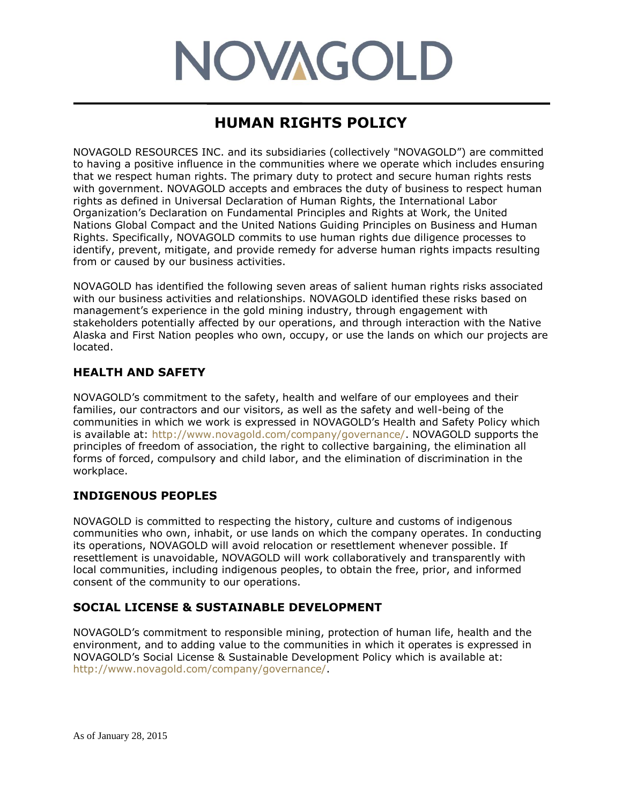# **NOVAGOLD**

# **HUMAN RIGHTS POLICY**

NOVAGOLD RESOURCES INC. and its subsidiaries (collectively "NOVAGOLD") are committed to having a positive influence in the communities where we operate which includes ensuring that we respect human rights. The primary duty to protect and secure human rights rests with government. NOVAGOLD accepts and embraces the duty of business to respect human rights as defined in Universal Declaration of Human Rights, the International Labor Organization's Declaration on Fundamental Principles and Rights at Work, the United Nations Global Compact and the United Nations Guiding Principles on Business and Human Rights. Specifically, NOVAGOLD commits to use human rights due diligence processes to identify, prevent, mitigate, and provide remedy for adverse human rights impacts resulting from or caused by our business activities.

NOVAGOLD has identified the following seven areas of salient human rights risks associated with our business activities and relationships. NOVAGOLD identified these risks based on management's experience in the gold mining industry, through engagement with stakeholders potentially affected by our operations, and through interaction with the Native Alaska and First Nation peoples who own, occupy, or use the lands on which our projects are located.

## **HEALTH AND SAFETY**

NOVAGOLD's commitment to the safety, health and welfare of our employees and their families, our contractors and our visitors, as well as the safety and well-being of the communities in which we work is expressed in NOVAGOLD's Health and Safety Policy which is available at: http://www.novagold.com/company/governance/. NOVAGOLD supports the principles of freedom of association, the right to collective bargaining, the elimination all forms of forced, compulsory and child labor, and the elimination of discrimination in the workplace.

# **INDIGENOUS PEOPLES**

NOVAGOLD is committed to respecting the history, culture and customs of indigenous communities who own, inhabit, or use lands on which the company operates. In conducting its operations, NOVAGOLD will avoid relocation or resettlement whenever possible. If resettlement is unavoidable, NOVAGOLD will work collaboratively and transparently with local communities, including indigenous peoples, to obtain the free, prior, and informed consent of the community to our operations.

## **SOCIAL LICENSE & SUSTAINABLE DEVELOPMENT**

NOVAGOLD's commitment to responsible mining, protection of human life, health and the environment, and to adding value to the communities in which it operates is expressed in NOVAGOLD's Social License & Sustainable Development Policy which is available at: http://www.novagold.com/company/governance/.